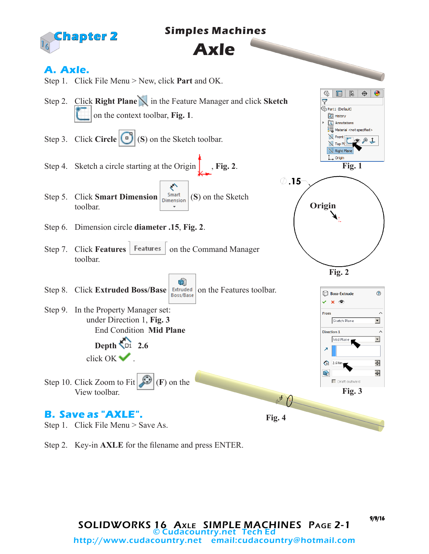

## **Simples Machines**

## **Axle**

## **A. Axle.**



Step 2. Key-in **AXLE** for the filename and press ENTER.